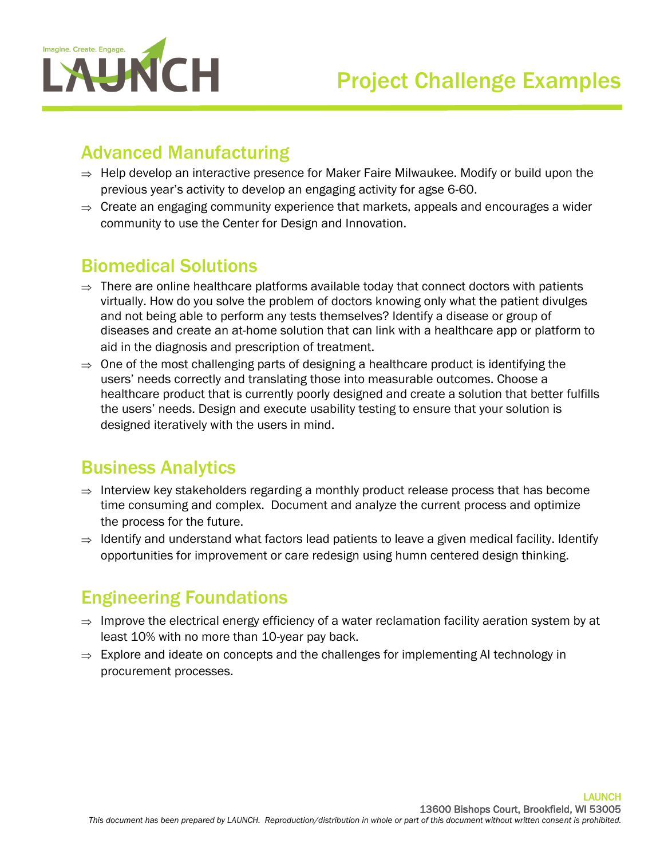

## Advanced Manufacturing

- $\Rightarrow$  Help develop an interactive presence for Maker Faire Milwaukee. Modify or build upon the previous year's activity to develop an engaging activity for agse 6-60.
- $\Rightarrow$  Create an engaging community experience that markets, appeals and encourages a wider community to use the Center for Design and Innovation.

## Biomedical Solutions

- $\Rightarrow$  There are online healthcare platforms available today that connect doctors with patients virtually. How do you solve the problem of doctors knowing only what the patient divulges and not being able to perform any tests themselves? Identify a disease or group of diseases and create an at-home solution that can link with a healthcare app or platform to aid in the diagnosis and prescription of treatment.
- $\Rightarrow$  One of the most challenging parts of designing a healthcare product is identifying the users' needs correctly and translating those into measurable outcomes. Choose a healthcare product that is currently poorly designed and create a solution that better fulfills the users' needs. Design and execute usability testing to ensure that your solution is designed iteratively with the users in mind.

# Business Analytics

- $\Rightarrow$  Interview key stakeholders regarding a monthly product release process that has become time consuming and complex. Document and analyze the current process and optimize the process for the future.
- $\Rightarrow$  Identify and understand what factors lead patients to leave a given medical facility. Identify opportunities for improvement or care redesign using humn centered design thinking.

# Engineering Foundations

- $\Rightarrow$  Improve the electrical energy efficiency of a water reclamation facility aeration system by at least 10% with no more than 10-year pay back.
- $\Rightarrow$  Explore and ideate on concepts and the challenges for implementing AI technology in procurement processes.